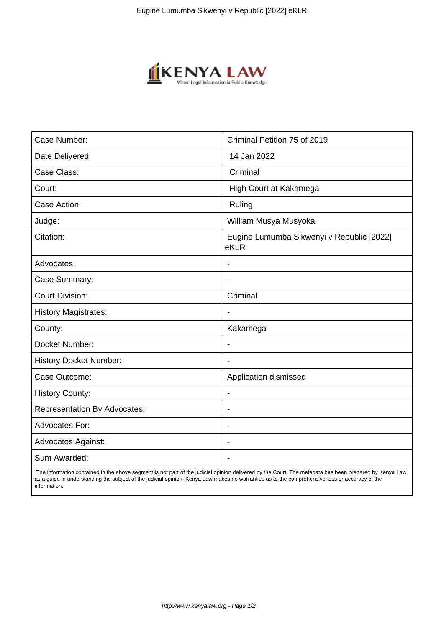

| Case Number:                        | Criminal Petition 75 of 2019                      |
|-------------------------------------|---------------------------------------------------|
| Date Delivered:                     | 14 Jan 2022                                       |
| Case Class:                         | Criminal                                          |
| Court:                              | High Court at Kakamega                            |
| Case Action:                        | Ruling                                            |
| Judge:                              | William Musya Musyoka                             |
| Citation:                           | Eugine Lumumba Sikwenyi v Republic [2022]<br>eKLR |
| Advocates:                          |                                                   |
| Case Summary:                       |                                                   |
| <b>Court Division:</b>              | Criminal                                          |
| <b>History Magistrates:</b>         | $\overline{\phantom{a}}$                          |
| County:                             | Kakamega                                          |
| Docket Number:                      |                                                   |
| <b>History Docket Number:</b>       |                                                   |
| Case Outcome:                       | Application dismissed                             |
| <b>History County:</b>              | $\blacksquare$                                    |
| <b>Representation By Advocates:</b> | ÷.                                                |
| Advocates For:                      | $\overline{\phantom{0}}$                          |
| <b>Advocates Against:</b>           |                                                   |
| Sum Awarded:                        |                                                   |

 The information contained in the above segment is not part of the judicial opinion delivered by the Court. The metadata has been prepared by Kenya Law as a guide in understanding the subject of the judicial opinion. Kenya Law makes no warranties as to the comprehensiveness or accuracy of the information.